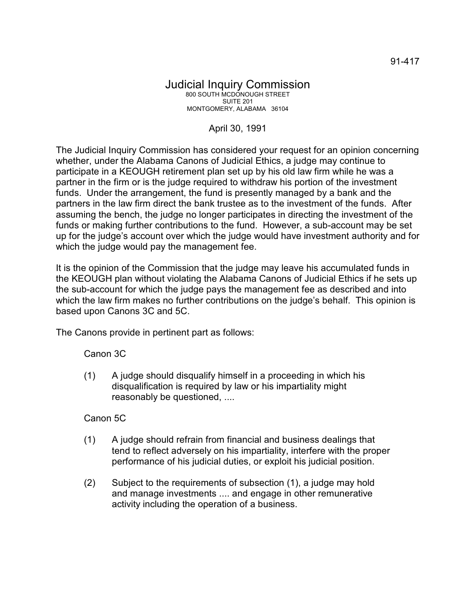## Judicial Inquiry Commission 800 SOUTH MCDONOUGH STREET SUITE 201 MONTGOMERY, ALABAMA 36104

## April 30, 1991

The Judicial Inquiry Commission has considered your request for an opinion concerning whether, under the Alabama Canons of Judicial Ethics, a judge may continue to participate in a KEOUGH retirement plan set up by his old law firm while he was a partner in the firm or is the judge required to withdraw his portion of the investment funds. Under the arrangement, the fund is presently managed by a bank and the partners in the law firm direct the bank trustee as to the investment of the funds. After assuming the bench, the judge no longer participates in directing the investment of the funds or making further contributions to the fund. However, a sub-account may be set up for the judge's account over which the judge would have investment authority and for which the judge would pay the management fee.

It is the opinion of the Commission that the judge may leave his accumulated funds in the KEOUGH plan without violating the Alabama Canons of Judicial Ethics if he sets up the sub-account for which the judge pays the management fee as described and into which the law firm makes no further contributions on the judge's behalf. This opinion is based upon Canons 3C and 5C.

The Canons provide in pertinent part as follows:

Canon 3C

(1) A judge should disqualify himself in a proceeding in which his disqualification is required by law or his impartiality might reasonably be questioned, ....

## Canon 5C

- (1) A judge should refrain from financial and business dealings that tend to reflect adversely on his impartiality, interfere with the proper performance of his judicial duties, or exploit his judicial position.
- (2) Subject to the requirements of subsection (1), a judge may hold and manage investments .... and engage in other remunerative activity including the operation of a business.